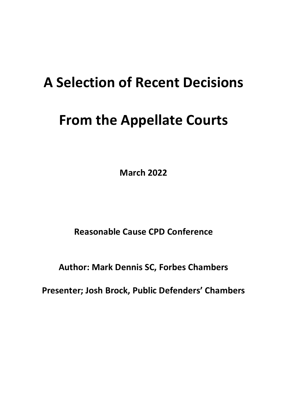# **A Selection of Recent Decisions**

# **From the Appellate Courts**

**March 2022**

**Reasonable Cause CPD Conference**

**Author: Mark Dennis SC, Forbes Chambers**

**Presenter; Josh Brock, Public Defenders' Chambers**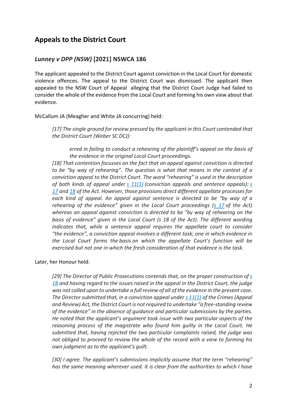# **Appeals to the District Court**

## *Lunney v DPP (NSW)* **[2021] NSWCA 186**

The applicant appealed to the District Court against conviction in the Local Court for domestic violence offences. The appeal to the District Court was dismissed. The applicant then appealed to the NSW Court of Appeal alleging that the District Court Judge had failed to consider the whole of the evidence from the Local Court and forming his own view about that evidence.

McCallum JA (Meagher and White JA concurring) held:

*[17] The single ground for review pressed by the applicant in this Court contended that the District Court (Weber SC DCJ):*

*erred in failing to conduct a rehearing of the plaintiff's appeal on the basis of the evidence in the original Local Court proceedings.*

*[18] That contention focusses on the fact that an appeal against conviction is directed to be "by way of rehearing". The question is what that means in the context of a conviction appeal to the District Court. The word "rehearing" is used in the description of both kinds of appeal under s 11(1) (conviction appeals and sentence appeals): s 17 and 18 of the Act. However, those provisions direct different appellate processes for each kind of appeal. An appeal against sentence is directed to be "by way of a rehearing of the evidence" given in the Local Court proceedings (s 17 of the Act) whereas an appeal against conviction is directed to be "by way of rehearing on the basis of evidence" given in the Local Court (s 18 of the Act). The different wording indicates that, while a sentence appeal requires the appellate court to consider "the evidence", a conviction appeal involves a different task; one in which evidence in the Local Court forms the basis on which the appellate Court's function will be exercised but not one in which the fresh consideration of that evidence is the task.*

Later, her Honour held:

*[29] The Director of Public Prosecutions contends that, on the proper construction of s 18 and having regard to the issues raised in the appeal in the District Court, the judge was not called upon to undertake a full review of all of the evidence in the present case. The Director submitted that, in a conviction appeal under s 11(1) of the Crimes (Appeal and Review) Act, the District Court is not required to undertake "a free-standing review of the evidence" in the absence of guidance and particular submissions by the parties. He noted that the applicant's argument took issue with two particular aspects of the reasoning process of the magistrate who found him guilty in the Local Court. He submitted that, having rejected the two particular complaints raised, the judge was not obliged to proceed to review the whole of the record with a view to forming his own judgment as to the applicant's guilt.*

*[30] I agree. The applicant's submissions implicitly assume that the term "rehearing" has the same meaning wherever used. It is clear from the authorities to which I have*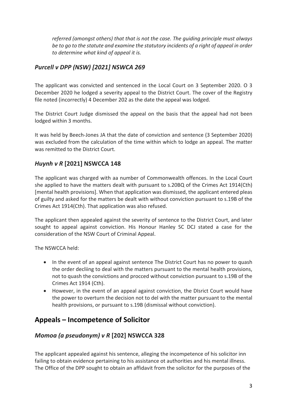*referred (amongst others) that that is not the case. The guiding principle must always be to go to the statute and examine the statutory incidents of a right of appeal in order to determine what kind of appeal it is.*

## *Purcell v DPP (NSW) [2021] NSWCA 269*

The applicant was convicted and sentenced in the Local Court on 3 September 2020. O 3 December 2020 he lodged a severity appeal to the District Court. The cover of the Registry file noted (incorrectly) 4 December 202 as the date the appeal was lodged.

The District Court Judge dismissed the appeal on the basis that the appeal had not been lodged within 3 months.

It was held by Beech-Jones JA that the date of conviction and sentence (3 September 2020) was excluded from the calculation of the time within which to lodge an appeal. The matter was remitted to the District Court.

## *Huynh v R* **[2021] NSWCCA 148**

The applicant was charged with aa number of Commonwealth offences. In the Local Court she applied to have the matters dealt with pursuant to s.20BQ of the Crimes Act 1914(Cth) [mental health provisions]. When that application was dismissed, the applicant entered pleas of guilty and asked for the matters be dealt with without conviction pursuant to s.19B of the Crimes Act 1914(Cth). That application was also refused.

The applicant then appealed against the severity of sentence to the District Court, and later sought to appeal against conviction. His Honour Hanley SC DCJ stated a case for the consideration of the NSW Court of Criminal Appeal.

The NSWCCA held:

- In the event of an appeal against sentence The District Court has no power to quash the order decliing to deal with the matters pursuant to the mental health provisions, not to quash the convictions and procced without conviction pursuant to s.19B of the Crimes Act 1914 (Cth).
- However, in the event of an appeal against conviction, the DIsrict Court would have the power to overturn the decision not to del with the matter pursuant to the mental health provisions, or pursuant to s.19B (dismissal without conviction).

# **Appeals – Incompetence of Solicitor**

## *Momoa (a pseudonym) v R* **[202] NSWCCA 328**

The applicant appealed against his sentence, alleging the incompetence of his solicitor inn failing to obtain evidence pertaining to his assistance ot authorities and his mental illness. The Office of the DPP sought to obtain an affidavit from the solicitor for the purposes of the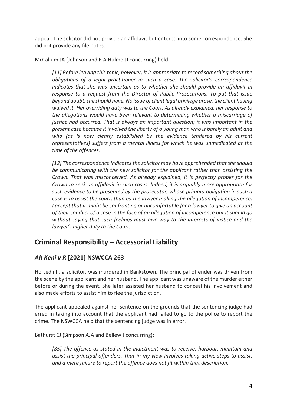appeal. The solicitor did not provide an affidavit but entered into some correspondence. She did not provide any file notes.

McCallum JA (Johnson and R A Hulme JJ concurring) held:

*[11] Before leaving this topic, however, it is appropriate to record something about the obligations of a legal practitioner in such a case. The solicitor's correspondence indicates that she was uncertain as to whether she should provide an affidavit in response to a request from the Director of Public Prosecutions. To put that issue beyond doubt, she should have. No issue of client legal privilege arose, the client having waived it. Her overriding duty was to the Court. As already explained, her response to the allegations would have been relevant to determining whether a miscarriage of justice had occurred. That is always an important question; it was important in the present case because it involved the liberty of a young man who is barely an adult and*  who (as is now clearly established by the evidence tendered by his current *representatives) suffers from a mental illness for which he was unmedicated at the time of the offences.*

*[12] The correspondence indicates the solicitor may have apprehended that she should be communicating with the new solicitor for the applicant rather than assisting the Crown. That was misconceived. As already explained, it is perfectly proper for the Crown to seek an affidavit in such cases. Indeed, it is arguably more appropriate for such evidence to be presented by the prosecutor, whose primary obligation in such a case is to assist the court, than by the lawyer making the allegation of incompetence. I accept that it might be confronting or uncomfortable for a lawyer to give an account of their conduct of a case in the face of an allegation of incompetence but it should go without saying that such feelings must give way to the interests of justice and the lawyer's higher duty to the Court.*

# **Criminal Responsibility – Accessorial Liability**

## *Ah Keni v R* **[2021] NSWCCA 263**

Ho Ledinh, a solicitor, was murdered in Bankstown. The principal offender was driven from the scene by the applicant and her husband. The applicant was unaware of the murder either before or during the event. She later assisted her husband to conceal his involvement and also made efforts to assist him to flee the jurisdiction.

The applicant appealed against her sentence on the grounds that the sentencing judge had erred in taking into account that the applicant had failed to go to the police to report the crime. The NSWCCA held that the sentencing judge was in error.

Bathurst CJ (Simpson AJA and Bellew J concurring):

*[85] The offence as stated in the indictment was to receive, harbour, maintain and assist the principal offenders. That in my view involves taking active steps to assist, and a mere failure to report the offence does not fit within that description.*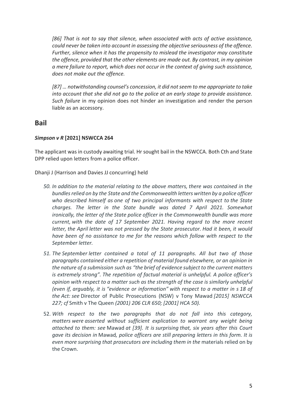*[86] That is not to say that silence, when associated with acts of active assistance, could never be taken into account in assessing the objective seriousness of the offence. Further, silence when it has the propensity to mislead the investigator may constitute the offence, provided that the other elements are made out. By contrast, in my opinion a mere failure to report, which does not occur in the context of giving such assistance, does not make out the offence.*

*[87] … notwithstanding counsel's concession, it did not seem to me appropriate to take into account that she did not go to the police at an early stage to provide assistance. Such failure* in my opinion does not hinder an investigation and render the person liable as an accessory.

## **Bail**

#### *Simpson v R* **[2021] NSWCCA 264**

The applicant was in custody awaiting trial. Hr sought bail in the NSWCCA. Both Cth and State DPP relied upon letters from a police officer.

Dhanji J (Harrison and Davies JJ concurring) held

- *50. In addition to the material relating to the above matters, there was contained in the bundles relied on by the State and the Commonwealth letters written by a police officer who described himself as one of two principal informants with respect to the State charges. The letter in the State bundle was dated 7 April 2021. Somewhat ironically, the letter of the State police officer in the Commonwealth bundle was more current, with the date of 17 September 2021. Having regard to the more recent letter, the April letter was not pressed by the State prosecutor. Had it been, it would have been of no assistance to me for the reasons which follow with respect to the September letter.*
- *51. The September letter contained a total of 11 paragraphs. All but two of those paragraphs contained either a repetition of material found elsewhere, or an opinion in the nature of a submission such as "the brief of evidence subject to the current matters is extremely strong". The repetition of factual material is unhelpful. A police officer's opinion with respect to a matter such as the strength of the case is similarly unhelpful (even if, arguably, it is "evidence or information" with respect to a matter in s 18 of the Act: see* Director of Public Prosecutions (NSW) v Tony Mawad *[2015] NSWCCA 227; cf* Smith v The Queen *(2001) 206 CLR 650; [2001] HCA 50).*
- 52. *With respect to the two paragraphs that do not fall into this category, matters were asserted without sufficient explication to warrant any weight being attached to them: see* Mawad *at [39]. It is surprising that, six years after this Court gave its decision in* Mawad*, police officers are still preparing letters in this form. It is even more surprising that prosecutors are including them in the* materials relied on by the Crown.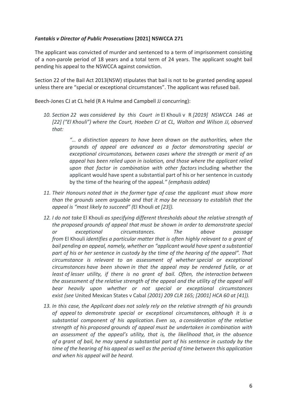#### *Fantakis v Director of Public Prosecutions* **[2021] NSWCCA 271**

The applicant was convicted of murder and sentenced to a term of imprisonment consisting of a non-parole period of 18 years and a total term of 24 years. The applicant sought bail pending his appeal to the NSWCCA against conviction.

Section 22 of the Bail Act 2013(NSW) stipulates that bail is not to be granted pending appeal unless there are "special or exceptional circumstances". The applicant was refused bail.

Beech-Jones CJ at CL held (R A Hulme and Campbell JJ concurring):

*10. Section 22 was considered by this Court in* El Khouli v R *[2019] NSWCCA 146 at [22] ("El Khouli") where the Court, Hoeben CJ at CL, Walton and Wilson JJ, observed that:*

> *"… a distinction appears to have been drawn on the authorities, when the grounds of appeal are advanced as a factor demonstrating special or exceptional circumstances, between cases where the strength or merit of an appeal has been relied upon in isolation, and those where the applicant relied upon that factor in combination with other factors* including whether the applicant would have spent a substantial part of his or her sentence in custody by the time of the hearing of the appeal*." (emphasis added)*

- *11. Their Honours noted that in the former type of case the applicant must show more than the grounds seem arguable and that it may be necessary to establish that the appeal is "most likely to succeed" (*El Khouli *at [23]).*
- *12. I do not take* El Khouli *as specifying different thresholds about the relative strength of the proposed grounds of appeal that must be shown in order to demonstrate special or exceptional circumstances. The above passage from* El Khouli *identifies a particular matter that is often highly relevant to a grant of bail pending an appeal, namely, whether an "applicant would have spent a substantial part of his or her sentence in custody by the time of the hearing of the appeal". That circumstance is relevant to an assessment of whether special or exceptional circumstances have been shown in that the appeal may be rendered futile, or at least of lesser utility, if there is no grant of bail. Often, the interaction between the assessment of the relative strength of the appeal and the utility of the appeal will bear heavily upon whether or not special or exceptional circumstances exist (see* United Mexican States v Cabal *(2001) 209 CLR 165; [2001] HCA 60 at [41]).*
- *13. In this case, the Applicant does not solely rely on the relative strength of his grounds of appeal to demonstrate special or exceptional circumstances, although it is a substantial component of his application. Even so, a consideration of the relative strength of his proposed grounds of appeal must be undertaken in combination with an assessment of the appeal's utility, that is, the likelihood that, in the absence of a grant of bail, he may spend a substantial part of his sentence in custody by the time of the hearing of his appeal as well as the period of time between this application and when his appeal will be heard.*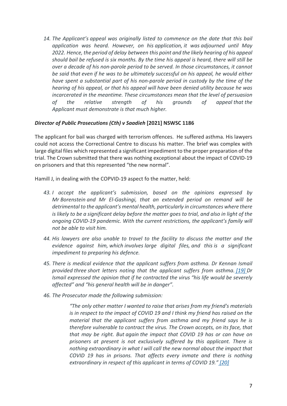*14. The Applicant's appeal was originally listed to commence on the date that this bail application was heard. However, on his application, it was adjourned until May 2022. Hence, the period of delay between this point and the likely hearing of his appeal should bail be refused is six months. By the time his appeal is heard, there will still be over a decade of his non-parole period to be served. In those circumstances, it cannot be said that even if he was to be ultimately successful on his appeal, he would either have spent a substantial part of his non-parole period in custody by the time of the hearing of his appeal, or that his appeal will have been denied utility because he was incarcerated in the meantime. These circumstances mean that the level of persuasion of the relative strength of his grounds of appeal that the Applicant must demonstrate is that much higher.*

#### *Director of Public Prosecutions (Cth) v Saadieh* **[2021] NSWSC 1186**

The applicant for bail was charged with terrorism offences. He suffered asthma. His lawyers could not access the Correctional Centre to discuss his matter. The brief was complex with large digital files which represented a significant impediment to the proper preparation of the trial. The Crown submitted that there was nothing exceptional about the impact of COVID-19 on prisoners and that this represented "the new normal".

Hamill J, in dealing with the COPVID-19 aspect fo the matter, held:

- *43. I accept the applicant's submission, based on the opinions expressed by Mr Borenstein and Mr El-Gashingi, that an extended period on remand will be detrimental to the applicant's mental health, particularly in circumstances where there is likely to be a significant delay before the matter goes to trial, and also in light of the ongoing COVID-19 pandemic. With the current restrictions, the applicant's family will not be able to visit him.*
- *44. His lawyers are also unable to travel to the facility to discuss the matter and the evidence against him, which involves large digital files, and this is a significant impediment to preparing his defence.*
- *45. There is medical evidence that the applicant suffers from asthma. Dr Kennan Ismail provided three short letters noting that the applicant suffers from asthma. [19] Dr Ismail expressed the opinion that if he contracted the virus "his life would be severely affected" and "his general health will be in danger".*
- *46. The Prosecutor made the following submission:*

*"The only other matter I wanted to raise that arises from my friend's materials is in respect to the impact of COVID 19 and I think my friend has raised on the material that the applicant suffers from asthma and my friend says he is therefore vulnerable to contract the virus. The Crown accepts, on its face, that that may be right. But again the impact that COVID 19 has or can have on prisoners at present is not exclusively suffered by this applicant. There is nothing extraordinary in what I will call the new normal about the impact that COVID 19 has in prisons. That affects every inmate and there is nothing extraordinary in respect of this applicant in terms of COVID 19." [20]*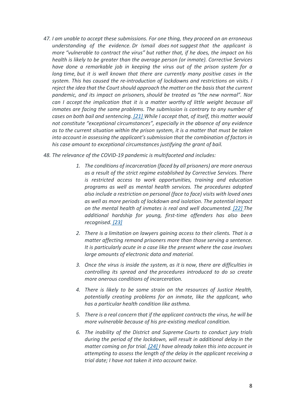- *47. I am unable to accept these submissions. For one thing, they proceed on an erroneous understanding of the evidence. Dr Ismail does not suggest that the applicant is more "vulnerable to contract the virus" but rather that, if he does, the impact on his health is likely to be greater than the average person (or inmate). Corrective Services have done a remarkable job in keeping the virus out of the prison system for a long time, but it is well known that there are currently many positive cases in the system. This has caused the re-introduction of lockdowns and restrictions on visits. I reject the idea that the Court should approach the matter on the basis that the current pandemic, and its impact on prisoners, should be treated as "the new normal". Nor can I accept the implication that it is a matter worthy of little weight because all inmates are facing the same problems. The submission is contrary to any number of cases on both bail and sentencing. [21] While I accept that, of itself, this matter would not constitute "exceptional circumstances", especially in the absence of any evidence as to the current situation within the prison system, it is a matter that must be taken into account in assessing the applicant's submission that the combination of factors in his case amount to exceptional circumstances justifying the grant of bail.*
- *48. The relevance of the COVID-19 pandemic is multifaceted and includes:*
	- *1. The conditions of incarceration (faced by all prisoners) are more onerous as a result of the strict regime established by Corrective Services. There is restricted access to work opportunities, training and education programs as well as mental health services. The procedures adopted also include a restriction on personal (face to face) visits with loved ones as well as more periods of lockdown and isolation. The potential impact on the mental health of inmates is real and well documented. [22] The additional hardship for young, first-time offenders has also been recognised. [23]*
	- *2. There is a limitation on lawyers gaining access to their clients. That is a matter affecting remand prisoners more than those serving a sentence. It is particularly acute in a case like the present where the case involves large amounts of electronic data and material.*
	- *3. Once the virus is inside the system, as it is now, there are difficulties in controlling its spread and the procedures introduced to do so create more onerous conditions of incarceration.*
	- *4. There is likely to be some strain on the resources of Justice Health, potentially creating problems for an inmate, like the applicant, who has a particular health condition like asthma.*
	- *5. There is a real concern that if the applicant contracts the virus, he will be more vulnerable because of his pre-existing medical condition.*
	- *6. The inability of the District and Supreme Courts to conduct jury trials during the period of the lockdown, will result in additional delay in the matter coming on for trial. [24] I have already taken this into account in attempting to assess the length of the delay in the applicant receiving a trial date; I have not taken it into account twice.*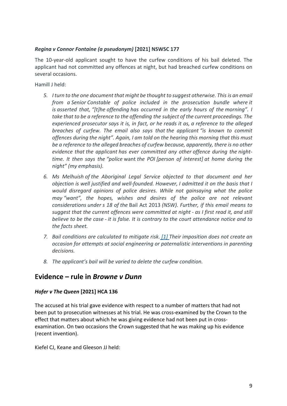#### *Regina v Connor Fontaine (a pseudonym)* **[2021] NSWSC 177**

The 10-year-old applicant sought to have the curfew conditions of his bail deleted. The applicant had not committed any offences at night, but had breached curfew conditions on several occasions.

Hamill J held:

- *5. I turn to the one document that might be thought to suggest otherwise. This is an email from a Senior Constable of police included in the prosecution bundle where it is asserted that, "[t]he offending has occurred in the early hours of the morning". I take that to be a reference to the offending the subject of the current proceedings. The experienced prosecutor says it is, in fact, or he reads it as, a reference to the alleged breaches of curfew. The email also says that the applicant "is known to commit offences during the night". Again, I am told on the hearing this morning that this must be a reference to the alleged breaches of curfew because, apparently, there is no other evidence that the applicant has ever committed any other offence during the nighttime. It then says the "police* want *the POI [person of interest] at home during the night" (my emphasis).*
- *6. Ms Melhuish of the Aboriginal Legal Service objected to that document and her objection is well justified and well-founded. However, I admitted it on the basis that I would disregard opinions of police desires. While not gainsaying what the police may "want", the hopes, wishes and desires of the police are not relevant considerations under s 18 of the* Bail Act 2013 *(NSW). Further, if this email means to suggest that the current offences were committed at night - as I first read it, and still believe to be the case - it is false. It is contrary to the court attendance notice and to the facts sheet.*
- *7. Bail conditions are calculated to mitigate risk. [1] Their imposition does not create an occasion for attempts at social engineering or paternalistic interventions in parenting decisions.*
- *8. The applicant's bail will be varied to delete the curfew condition.*

## **Evidence – rule in** *Browne v Dunn*

#### *Hofer v The Queen* **[2021] HCA 136**

The accused at his trial gave evidence with respect to a number of matters that had not been put to prosecution witnesses at his trial. He was cross-examined by the Crown to the effect that matters about which he was giving evidence had not been put in crossexamination. On two occasions the Crown suggested that he was making up his evidence (recent invention).

Kiefel CJ, Keane and Gleeson JJ held: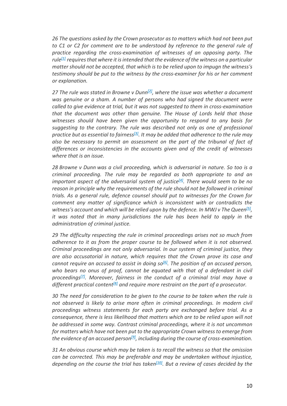*26 The questions asked by the Crown prosecutor as to matters which had not been put to C1 or C2 for comment are to be understood by reference to the general rule of practice regarding the cross-examination of witnesses of an opposing party. The rule[1] requires that where it is intended that the evidence of the witness on a particular matter should not be accepted, that which is to be relied upon to impugn the witness's testimony should be put to the witness by the cross-examiner for his or her comment or explanation.*

*27 The rule was stated in Browne v Dunn[2], where the issue was whether a document was genuine or a sham. A number of persons who had signed the document were called to give evidence at trial, but it was not suggested to them in cross-examination that the document was other than genuine. The House of Lords held that those witnesses should have been given the opportunity to respond to any basis for suggesting to the contrary. The rule was described not only as one of professional practice but as essential to fairness[3]. It may be added that adherence to the rule may also be necessary to permit an assessment on the part of the tribunal of fact of differences or inconsistencies in the accounts given and of the credit of witnesses where that is an issue.*

*28 Browne v Dunn was a civil proceeding, which is adversarial in nature. So too is a criminal proceeding. The rule may be regarded as both appropriate to and an important aspect of the adversarial system of justice[4]. There would seem to be no reason in principle why the requirements of the rule should not be followed in criminal trials. As a general rule, defence counsel should put to witnesses for the Crown for comment any matter of significance which is inconsistent with or contradicts the witness's account and which will be relied upon by the defence. In MWJ v The Queen[5], it was noted that in many jurisdictions the rule has been held to apply in the administration of criminal justice.*

*29 The difficulty respecting the rule in criminal proceedings arises not so much from adherence to it as from the proper course to be followed when it is not observed. Criminal proceedings are not only adversarial. In our system of criminal justice, they are also accusatorial in nature, which requires that the Crown prove its case and cannot require an accused to assist in doing so[6]. The position of an accused person,*  who bears no onus of proof, cannot be equated with that of a defendant in civil *proceedings[7]. Moreover, fairness in the conduct of a criminal trial may have a different practical content[8] and require more restraint on the part of a prosecutor.*

*30 The need for consideration to be given to the course to be taken when the rule is not observed is likely to arise more often in criminal proceedings. In modern civil proceedings witness statements for each party are exchanged before trial. As a consequence, there is less likelihood that matters which are to be relied upon will not be addressed in some way. Contrast criminal proceedings, where it is not uncommon for matters which have not been put to the appropriate Crown witness to emerge from the evidence of an accused person[9], including during the course of cross-examination.*

*31 An obvious course which may be taken is to recall the witness so that the omission can be corrected. This may be preferable and may be undertaken without injustice, depending on the course the trial has taken[10]. But a review of cases decided by the*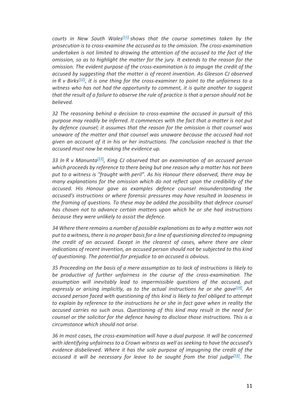*courts in New South Wales[11] shows that the course sometimes taken by the prosecution is to cross-examine the accused as to the omission. The cross-examination undertaken is not limited to drawing the attention of the accused to the fact of the omission, so as to highlight the matter for the jury. It extends to the reason for the omission. The evident purpose of the cross-examination is to impugn the credit of the accused by suggesting that the matter is of recent invention. As Gleeson CJ observed in R v Birks[12], it is one thing for the cross-examiner to point to the unfairness to a witness who has not had the opportunity to comment, it is quite another to suggest that the result of a failure to observe the rule of practice is that a person should not be believed.*

*32 The reasoning behind a decision to cross-examine the accused in pursuit of this purpose may readily be inferred. It commences with the fact that a matter is not put by defence counsel; it assumes that the reason for the omission is that counsel was unaware of the matter and that counsel was unaware because the accused had not given an account of it in his or her instructions. The conclusion reached is that the accused must now be making the evidence up.*

*33 In R v Manunta[13], King CJ observed that an examination of an accused person which proceeds by reference to there being but one reason why a matter has not been put to a witness is "fraught with peril". As his Honour there observed, there may be many explanations for the omission which do not reflect upon the credibility of the accused. His Honour gave as examples defence counsel misunderstanding the accused's instructions or where forensic pressures may have resulted in looseness in the framing of questions. To these may be added the possibility that defence counsel has chosen not to advance certain matters upon which he or she had instructions because they were unlikely to assist the defence.*

*34 Where there remains a number of possible explanations as to why a matter was not put to a witness, there is no proper basis for a line of questioning directed to impugning the credit of an accused. Except in the clearest of cases, where there are clear indications of recent invention, an accused person should not be subjected to this kind of questioning. The potential for prejudice to an accused is obvious.*

*35 Proceeding on the basis of a mere assumption as to lack of instructions is likely to be productive of further unfairness in the course of the cross-examination. The assumption will inevitably lead to impermissible questions of the accused, put expressly or arising implicitly, as to the actual instructions he or she gave[14]. An accused person faced with questioning of this kind is likely to feel obliged to attempt to explain by reference to the instructions he or she in fact gave when in reality the accused carries no such onus. Questioning of this kind may result in the need for counsel or the solicitor for the defence having to disclose those instructions. This is a circumstance which should not arise.*

*36 In most cases, the cross-examination will have a dual purpose. It will be concerned with identifying unfairness to a Crown witness as well as seeking to have the accused's evidence disbelieved. Where it has the sole purpose of impugning the credit of the accused it will be necessary for leave to be sought from the trial judge[15]. The*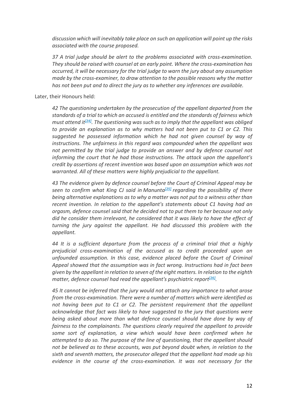*discussion which will inevitably take place on such an application will point up the risks associated with the course proposed.*

*37 A trial judge should be alert to the problems associated with cross-examination. They should be raised with counsel at an early point. Where the cross-examination has occurred, it will be necessary for the trial judge to warn the jury about any assumption made by the cross-examiner, to draw attention to the possible reasons why the matter has not been put and to direct the jury as to whether any inferences are available.*

Later, their Honours held:

*42 The questioning undertaken by the prosecution of the appellant departed from the standards of a trial to which an accused is entitled and the standards of fairness which must attend it[24]. The questioning was such as to imply that the appellant was obliged to provide an explanation as to why matters had not been put to C1 or C2. This suggested he possessed information which he had not given counsel by way of instructions. The unfairness in this regard was compounded when the appellant was not permitted by the trial judge to provide an answer and by defence counsel not informing the court that he had those instructions. The attack upon the appellant's credit by assertions of recent invention was based upon an assumption which was not warranted. All of these matters were highly prejudicial to the appellant.*

*43 The evidence given by defence counsel before the Court of Criminal Appeal may be seen to confirm what King CJ said in Manunta[25] regarding the possibility of there being alternative explanations as to why a matter was not put to a witness other than recent invention. In relation to the appellant's statements about C1 having had an orgasm, defence counsel said that he decided not to put them to her because not only did he consider them irrelevant, he considered that it was likely to have the effect of turning the jury against the appellant. He had discussed this problem with the appellant.*

*44 It is a sufficient departure from the process of a criminal trial that a highly prejudicial cross-examination of the accused as to credit proceeded upon an unfounded assumption. In this case, evidence placed before the Court of Criminal Appeal showed that the assumption was in fact wrong. Instructions had in fact been given by the appellant in relation to seven of the eight matters. In relation to the eighth matter, defence counsel had read the appellant's psychiatric report[26].*

*45 It cannot be inferred that the jury would not attach any importance to what arose from the cross-examination. There were a number of matters which were identified as not having been put to C1 or C2. The persistent requirement that the appellant acknowledge that fact was likely to have suggested to the jury that questions were being asked about more than what defence counsel should have done by way of fairness to the complainants. The questions clearly required the appellant to provide some sort of explanation, a view which would have been confirmed when he attempted to do so. The purpose of the line of questioning, that the appellant should not be believed as to these accounts, was put beyond doubt when, in relation to the sixth and seventh matters, the prosecutor alleged that the appellant had made up his evidence in the course of the cross-examination. It was not necessary for the*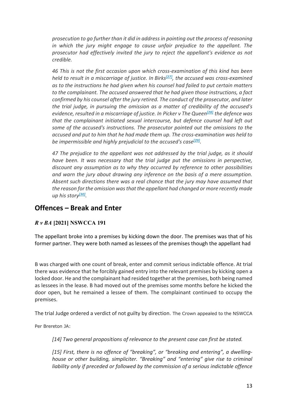*prosecution to go further than it did in address in pointing out the process of reasoning in which the jury might engage to cause unfair prejudice to the appellant. The prosecutor had effectively invited the jury to reject the appellant's evidence as not credible.*

*46 This is not the first occasion upon which cross-examination of this kind has been held to result in a miscarriage of justice. In Birks[27], the accused was cross-examined as to the instructions he had given when his counsel had failed to put certain matters to the complainant. The accused answered that he had given those instructions, a fact confirmed by his counsel after the jury retired. The conduct of the prosecutor, and later the trial judge, in pursuing the omission as a matter of credibility of the accused's evidence, resulted in a miscarriage of justice. In Picker v The Queen[28] the defence was that the complainant initiated sexual intercourse, but defence counsel had left out some of the accused's instructions. The prosecutor pointed out the omissions to the accused and put to him that he had made them up. The cross-examination was held to be impermissible and highly prejudicial to the accused's case[29].*

*47 The prejudice to the appellant was not addressed by the trial judge, as it should have been. It was necessary that the trial judge put the omissions in perspective, discount any assumption as to why they occurred by reference to other possibilities and warn the jury about drawing any inference on the basis of a mere assumption. Absent such directions there was a real chance that the jury may have assumed that the reason for the omission was that the appellant had changed or more recently made up his story[30].*

# **Offences – Break and Enter**

## *R v BA* **[2021] NSWCCA 191**

The appellant broke into a premises by kicking down the door. The premises was that of his former partner. They were both named as lessees of the premises though the appellant had

B was charged with one count of break, enter and commit serious indictable offence. At trial there was evidence that he forcibly gained entry into the relevant premises by kicking open a locked door. He and the complainant had resided together at the premises, both being named as lessees in the lease. B had moved out of the premises some months before he kicked the door open, but he remained a lessee of them. The complainant continued to occupy the premises.

The trial Judge ordered a verdict of not guilty by direction. The Crown appealed to the NSWCCA

Per Brereton JA:

*[14] Two general propositions of relevance to the present case can first be stated.*

*[15] First, there is no offence of "breaking", or "breaking and entering", a dwellinghouse or other building, simpliciter. "Breaking" and "entering" give rise to criminal liability only if preceded or followed by the commission of a serious indictable offence*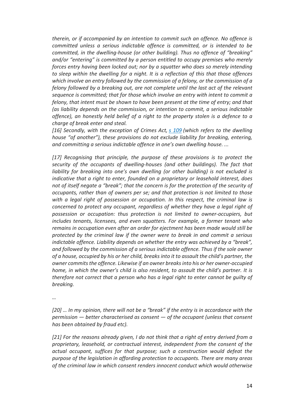*therein, or if accompanied by an intention to commit such an offence. No offence is committed unless a serious indictable offence is committed, or is intended to be committed, in the dwelling-house (or other building). Thus no offence of "breaking" and/or "entering" is committed by a person entitled to occupy premises who merely forces entry having been locked out; nor by a squatter who does so merely intending to sleep within the dwelling for a night. It is a reflection of this that those offences which involve an entry followed by the commission of a felony, or the commission of a felony followed by a breaking out, are not complete until the last act of the relevant sequence is committed; that for those which involve an entry with intent to commit a felony, that intent must be shown to have been present at the time of entry; and that (as liability depends on the commission, or intention to commit, a serious indictable offence), an honestly held belief of a right to the property stolen is a defence to a charge of break enter and steal.*

*[16] Secondly, with the exception of Crimes Act, s 109 (which refers to the dwelling house "of another"), these provisions do not exclude liability for breaking, entering, and committing a serious indictable offence in one's own dwelling house. ...*

*[17] Recognising that principle, the purpose of these provisions is to protect the security of the occupants of dwelling-houses (and other buildings). The fact that liability for breaking into one's own dwelling (or other building) is not excluded is indicative that a right to enter, founded on a proprietary or leasehold interest, does not of itself negate a "break"; that the concern is for the protection of the security of occupants, rather than of owners per se; and that protection is not limited to those with a legal right of possession or occupation. In this respect, the criminal law is concerned to protect any occupant, regardless of whether they have a legal right of possession or occupation: thus protection is not limited to owner-occupiers, but includes tenants, licensees, and even squatters. For example, a former tenant who remains in occupation even after an order for ejectment has been made would still be protected by the criminal law if the owner were to break in and commit a serious indictable offence. Liability depends on whether the entry was achieved by a "break", and followed by the commission of a serious indictable offence. Thus if the sole owner of a house, occupied by his or her child, breaks into it to assault the child's partner, the owner commits the offence. Likewise if an owner breaks into his or her owner-occupied home, in which the owner's child is also resident, to assault the child's partner. It is therefore not correct that a person who has a legal right to enter cannot be guilty of breaking.*

*…*

*[20] … In my opinion, there will not be a "break" if the entry is in accordance with the permission — better characterised as consent — of the occupant (unless that consent has been obtained by fraud etc).*

*[21] For the reasons already given, I do not think that a right of entry derived from a proprietary, leasehold, or contractual interest, independent from the consent of the actual occupant, suffices for that purpose; such a construction would defeat the purpose of the legislation in affording protection to occupants. There are many areas of the criminal law in which consent renders innocent conduct which would otherwise*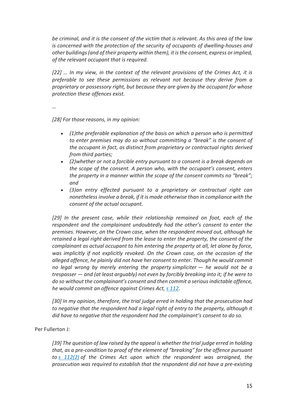*be criminal, and it is the consent of the victim that is relevant. As this area of the law is concerned with the protection of the security of occupants of dwelling-houses and other buildings (and of their property within them), it is the consent, express or implied, of the relevant occupant that is required.*

*[22] … In my view, in the context of the relevant provisions of the Crimes Act, it is preferable to see these permissions as relevant not because they derive from a proprietary or possessory right, but because they are given by the occupant for whose protection these offences exist.*

*…*

*[28] For those reasons, in my opinion:*

- *(1)the preferable explanation of the basis on which a person who is permitted to enter premises may do so without committing a "break" is the consent of the occupant in fact, as distinct from proprietary or contractual rights derived from third parties;*
- *(2)whether or not a forcible entry pursuant to a consent is a break depends on the scope of the consent. A person who, with the occupant's consent, enters the property in a manner within the scope of the consent commits no "break"; and*
- *(3)an entry effected pursuant to a proprietary or contractual right can nonethelessinvolve a break, if it is made otherwise than in compliance with the consent of the actual occupant.*

*[29] In the present case, while their relationship remained on foot, each of the respondent and the complainant undoubtedly had the other's consent to enter the premises. However, on the Crown case, when the respondent moved out, although he retained a legal right derived from the lease to enter the property, the consent of the complainant as actual occupant to him entering the property at all, let alone by force, was implicitly if not explicitly revoked. On the Crown case, on the occasion of the alleged offence, he plainly did not have her consent to enter. Though he would commit no legal wrong by merely entering the property simpliciter — he would not be a trespasser — and (at least arguably) not even by forcibly breaking into it; if he were to do so without the complainant's consent and then commit a serious indictable offence, he would commit an offence against Crimes Act, s 112.*

*[30] In my opinion, therefore, the trial judge erred in holding that the prosecution had to negative that the respondent had a legal right of entry to the property, although it did have to negative that the respondent had the complainant's consent to do so.*

#### Per Fullerton J:

*[39] The question of law raised by the appeal is whether the trial judge erred in holding that, as a pre-condition to proof of the element of "breaking" for the offence pursuant to s 112(2) of the Crimes Act upon which the respondent was arraigned, the prosecution was required to establish that the respondent did not have a pre-existing*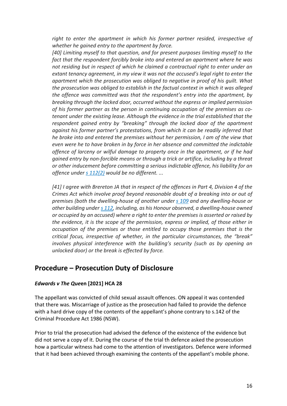*right to enter the apartment in which his former partner resided, irrespective of whether he gained entry to the apartment by force.*

*[40] Limiting myself to that question, and for present purposes limiting myself to the fact that the respondent forcibly broke into and entered an apartment where he was not residing but in respect of which he claimed a contractual right to enter under an extant tenancy agreement, in my view it was not the accused's legal right to enter the apartment which the prosecution was obliged to negative in proof of his guilt. What the prosecution was obliged to establish in the factual context in which it was alleged the offence was committed was that the respondent's entry into the apartment, by breaking through the locked door, occurred without the express or implied permission of his former partner as the person in continuing occupation of the premises as cotenant under the existing lease. Although the evidence in the trial established that the respondent gained entry by "breaking" through the locked door of the apartment against his former partner's protestations, from which it can be readily inferred that he broke into and entered the premises without her permission, I am of the view that even were he to have broken in by force in her absence and committed the indictable offence of larceny or wilful damage to property once in the apartment, or if he had gained entry by non-forcible means or through a trick or artifice, including by a threat or other inducement before committing a serious indictable offence, his liability for an offence under s 112(2) would be no different. ...*

*[41] I agree with Brereton JA that in respect of the offences in Part 4, Division 4 of the Crimes Act which involve proof beyond reasonable doubt of a breaking into or out of premises (both the dwelling-house of another under s 109 and any dwelling-house or other building under s 112, including, as his Honour observed, a dwelling-house owned or occupied by an accused) where a right to enter the premises is asserted or raised by the evidence, it is the scope of the permission, express or implied, of those either in occupation of the premises or those entitled to occupy those premises that is the critical focus, irrespective of whether, in the particular circumstances, the "break" involves physical interference with the building's security (such as by opening an unlocked door) or the break is effected by force.*

## **Procedure – Prosecution Duty of Disclosure**

#### *Edwards v The Que***en [2021] HCA 28**

The appellant was convicted of child sexual assault offences. ON appeal it was contended that there was. Miscarriage of justice as the prosecution had failed to provide the defence with a hard drive copy of the contents of the appellant's phone contrary to s.142 of the Criminal Procedure Act 1986 (NSW).

Prior to trial the prosecution had advised the defence of the existence of the evidence but did not serve a copy of it. During the course of the trial th defence asked the prosecution how a particular witness had come to the attention of investigators. Defence were informed that it had been achieved through examining the contents of the appellant's mobile phone.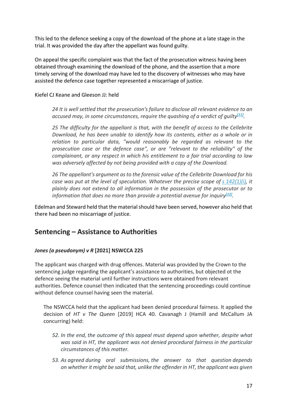This led to the defence seeking a copy of the download of the phone at a late stage in the trial. It was provided the day after the appellant was found guilty.

On appeal the specific complaint was that the fact of the prosecution witness having been obtained through examining the download of the phone, and the assertion that a more timely serving of the download may have led to the discovery of witnesses who may have assisted the defence case together represented a miscarriage of justice.

Kiefel CJ Keane and Gleeson JJ: held

*24 It is well settled that the prosecution's failure to disclose all relevant evidence to an accused may, in some circumstances, require the quashing of a verdict of quilty*<sup>[11]</sup>*.* 

*25 The difficulty for the appellant is that, with the benefit of access to the Cellebrite Download, he has been unable to identify how its contents, either as a whole or in relation to particular data, "would reasonably be regarded as relevant to the prosecution case or the defence case", or are "relevant to the reliability" of the complainant, or any respect in which his entitlement to a fair trial according to law was adversely affected by not being provided with a copy of the Download.*

*26 The appellant's argument as to the forensic value of the Cellebrite Download for his case was put at the level of speculation. Whatever the precise scope of s 142(1)(i), it plainly does not extend to all information in the possession of the prosecutor or to information that does no more than provide a potential avenue for inquiry*<sup>[12]</sup>*.* 

Edelman and Steward held that the material should have been served, however also held that there had been no miscarriage of justice.

## **Sentencing – Assistance to Authorities**

#### *Jones (a pseudonym) v R* **[2021] NSWCCA 225**

The applicant was charged with drug offences. Material was provided by the Crown to the sentencing judge regarding the applicant's assistance to authorities, but objected ot the defence seeing the material until further instructions were obtained from relevant authorities. Defence counsel then indicated that the sentencing proceedings could continue without defence counsel having seen the material.

The NSWCCA held that the applicant had been denied procedural fairness. It applied the decision of *HT v The Queen* [2019] HCA 40. Cavanagh J (Hamill and McCallum JA concurring) held:

- *52. In the end, the outcome of this appeal must depend upon whether, despite what was said in HT, the applicant was not denied procedural fairness in the particular circumstances of this matter.*
- *53. As agreed during oral submissions, the answer to that question depends on whether it might be said that, unlike the offender in HT, the applicant was given*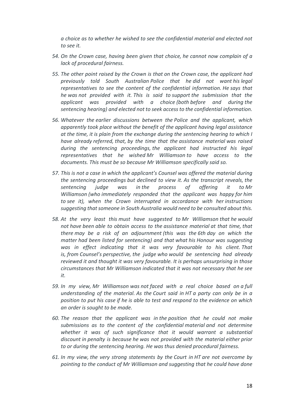*a choice as to whether he wished to see the confidential material and elected not to see it.*

- *54. On the Crown case, having been given that choice, he cannot now complain of a lack of procedural fairness.*
- *55. The other point raised by the Crown is that on the Crown case, the applicant had previously told South Australian Police that he did not want his legal representatives to see the content of the confidential information. He says that he was not provided with it. This is said to support the submission that the applicant was provided with a choice (both before and during the sentencing hearing) and elected not to seek access to the confidential information.*
- *56. Whatever the earlier discussions between the Police and the applicant, which apparently took place without the benefit of the applicant having legal assistance at the time, it is plain from the exchange during the sentencing hearing to which I have already referred, that, by the time that the assistance material was raised during the sentencing proceedings, the applicant had instructed his legal representatives that he wished Mr Williamson to have access to the documents. This must be so because Mr Williamson specifically said so.*
- *57. This is not a case in which the applicant's Counsel was offered the material during the sentencing proceedings but declined to view it. As the transcript reveals, the sentencing judge was in the process of offering it to Mr Williamson (who immediately responded that the applicant was happy for him to see it), when the Crown interrupted in accordance with her instructions suggesting that someone in South Australia would need to be consulted about this.*
- *58. At the very least this must have suggested to Mr Williamson that he would not have been able to obtain access to the assistance material at that time, that there may be a risk of an adjournment (this was the 6th day on which the matter had been listed for sentencing) and that what his Honour was suggesting was in effect indicating that it was very favourable to his client. That is, from Counsel's perspective, the judge who would be sentencing had already reviewed it and thought it was very favourable. It is perhaps unsurprising in those circumstances that Mr Williamson indicated that it was not necessary that he see it.*
- *59. In my view, Mr Williamson was not faced with a real choice based on a full understanding of the material. As the Court said in HT a party can only be in a position to put his case if he is able to test and respond to the evidence on which an order is sought to be made.*
- *60. The reason that the applicant was in the position that he could not make submissions as to the content of the confidential material and not determine whether it was of such significance that it would warrant a substantial discount in penalty is because he was not provided with the material either prior to or during the sentencing hearing. He was thus denied procedural fairness.*
- *61. In my view, the very strong statements by the Court in HT are not overcome by pointing to the conduct of Mr Williamson and suggesting that he could have done*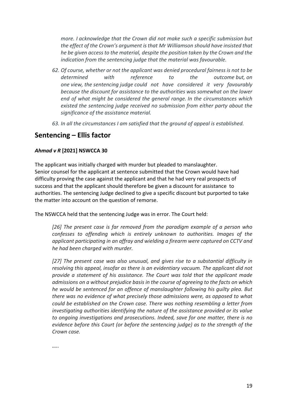*more. I acknowledge that the Crown did not make such a specific submission but the effect of the Crown's argument is that Mr Williamson should have insisted that he be given access to the material, despite the position taken by the Crown and the indication from the sentencing judge that the material was favourable.*

- *62. Of course, whether or not the applicant was denied procedural fairness is not to be determined with reference to the outcome but, on one view, the sentencing judge could not have considered it very favourably because the discount for assistance to the authorities was somewhat on the lower end of what might be considered the general range. In the circumstances which existed the sentencing judge received no submission from either party about the significance of the assistance material.*
- *63. In all the circumstances I am satisfied that the ground of appeal is established.*

## **Sentencing – Ellis factor**

#### *Ahmad v R* **[2021] NSWCCA 30**

The applicant was initially charged with murder but pleaded to manslaughter. Senior counsel for the applicant at sentence submitted that the Crown would have had difficulty proving the case against the applicant and that he had very real prospects of success and that the applicant should therefore be given a discount for assistance to authorities. The sentencing Judge declined to give a specific discount but purported to take the matter into account on the question of remorse.

The NSWCCA held that the sentencing Judge was in error. The Court held:

*[26] The present case is far removed from the paradigm example of a person who confesses to offending which is entirely unknown to authorities. Images of the applicant participating in an affray and wielding a firearm were captured on CCTV and he had been charged with murder.*

*[27] The present case was also unusual, and gives rise to a substantial difficulty in resolving this appeal, insofar as there is an evidentiary vacuum. The applicant did not provide a statement of his assistance. The Court was told that the applicant made admissions on a without prejudice basis in the course of agreeing to the facts on which he would be sentenced for an offence of manslaughter following his guilty plea. But there was no evidence of what precisely those admissions were, as opposed to what could be established on the Crown case. There was nothing resembling a letter from investigating authorities identifying the nature of the assistance provided or its value to ongoing investigations and prosecutions. Indeed, save for one matter, there is no evidence before this Court (or before the sentencing judge) as to the strength of the Crown case.*

*…..*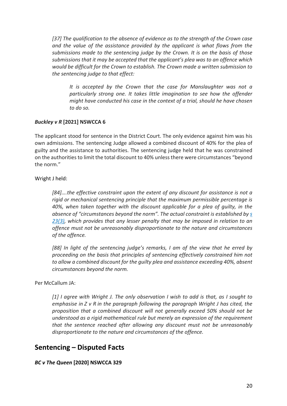*[37] The qualification to the absence of evidence as to the strength of the Crown case and the value of the assistance provided by the applicant is what flows from the submissions made to the sentencing judge by the Crown. It is on the basis of those submissions that it may be accepted that the applicant's plea was to an offence which would be difficult for the Crown to establish. The Crown made a written submission to the sentencing judge to that effect:*

*It is accepted by the Crown that the case for Manslaughter was not a particularly strong one. It takes little imagination to see how the offender might have conducted his case in the context of a trial, should he have chosen to do so.*

#### *Buckley v R* **[2021] NSWCCA 6**

The applicant stood for sentence in the District Court. The only evidence against him was his own admissions. The sentencing Judge allowed a combined discount of 40% for the plea of guilty and the assistance to authorities. The sentencing judge held that he was constrained on the authorities to limit the total discount to 40% unless there were circumstances "beyond the norm."

Wright J held:

*[84]….the effective constraint upon the extent of any discount for assistance is not a rigid or mechanical sentencing principle that the maximum permissible percentage is 40%, when taken together with the discount applicable for a plea of guilty, in the absence of "circumstances beyond the norm". The actual constraint is established by s 23(3), which provides that any lesser penalty that may be imposed in relation to an offence must not be unreasonably disproportionate to the nature and circumstances of the offence.*

*[88] In light of the sentencing judge's remarks, I am of the view that he erred by proceeding on the basis that principles of sentencing effectively constrained him not to allow a combined discount for the guilty plea and assistance exceeding 40%, absent circumstances beyond the norm.*

#### Per McCallum JA:

*[1] I agree with Wright J. The only observation I wish to add is that, as I sought to emphasise in Z v R in the paragraph following the paragraph Wright J has cited, the proposition that a combined discount will not generally exceed 50% should not be understood as a rigid mathematical rule but merely an expression of the requirement that the sentence reached after allowing any discount must not be unreasonably disproportionate to the nature and circumstances of the offence.*

## **Sentencing – Disputed Facts**

#### *BC v The Queen* **[2020] NSWCCA 329**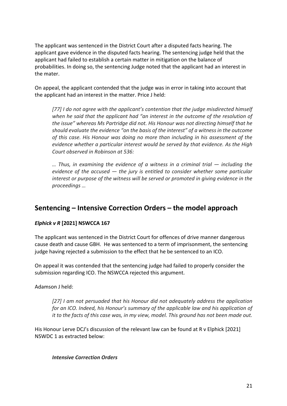The applicant was sentenced in the District Court after a disputed facts hearing. The applicant gave evidence in the disputed facts hearing. The sentencing judge held that the applicant had failed to establish a certain matter in mitigation on the balance of probabilities. In doing so, the sentencing Judge noted that the applicant had an interest in the mater.

On appeal, the applicant contended that the judge was in error in taking into account that the applicant had an interest in the matter. Price J held:

*[77] I do not agree with the applicant's contention that the judge misdirected himself when he said that the applicant had "an interest in the outcome of the resolution of the issue" whereas Ms Partridge did not. His Honour was not directing himself that he should evaluate the evidence "on the basis of the interest" of a witness in the outcome of this case. His Honour was doing no more than including in his assessment of the evidence whether a particular interest would be served by that evidence. As the High Court observed in Robinson at 536:*

*… Thus, in examining the evidence of a witness in a criminal trial — including the evidence of the accused — the jury is entitled to consider whether some particular interest or purpose of the witness will be served or promoted in giving evidence in the proceedings …*

# **Sentencing – Intensive Correction Orders – the model approach**

### *Elphick v R* **[2021] NSWCCA 167**

The applicant was sentenced in the District Court for offences of drive manner dangerous cause death and cause GBH. He was sentenced to a term of imprisonment, the sentencing judge having rejected a submission to the effect that he be sentenced to an ICO.

On appeal it was contended that the sentencing judge had failed to properly consider the submission regarding ICO. The NSWCCA rejected this argument.

Adamson J held:

*[27] I am not persuaded that his Honour did not adequately address the application for an ICO. Indeed, his Honour's summary of the applicable law and his application of it to the facts of this case was, in my view, model. This ground has not been made out.*

His Honour Lerve DCJ's discussion of the relevant law can be found at R v Elphick [2021] NSWDC 1 as extracted below:

#### *Intensive Correction Orders*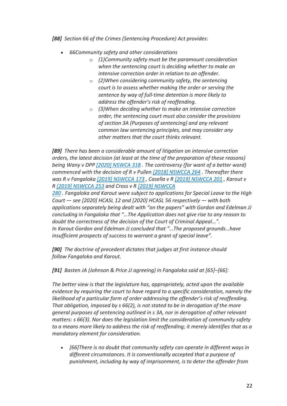*[88] Section 66 of the Crimes (Sentencing Procedure) Act provides:*

- *66Community safety and other considerations*
	- o *(1)Community safety must be the paramount consideration when the sentencing court is deciding whether to make an intensive correction order in relation to an offender.*
	- o *(2)When considering community safety, the sentencing court is to assess whether making the order or serving the sentence by way of full-time detention is more likely to address the offender's risk of reoffending.*
	- o *(3)When deciding whether to make an intensive correction order, the sentencing court must also consider the provisions of section 3A (Purposes of sentencing) and any relevant common law sentencing principles, and may consider any other matters that the court thinks relevant.*

*[89] There has been a considerable amount of litigation on intensive correction orders, the latest decision (at least at the time of the preparation of these reasons) being Wany v DPP [2020] NSWCA 318 . The controversy (for want of a better word) commenced with the decision of R v Pullen [2018] NSWCCA 264 . Thereafter there was R v Fangaloka [2019] NSWCCA 173 , Casella v R [2019] NSWCCA 201 , Karout v R [2019] NSWCCA 253 and Cross v R [2019] NSWCCA*

*280 . Fangaloka and Karout were subject to applications for Special Leave to the High Court — see [2020] HCASL 12 and [2020] HCASL 56 respectively — with both applications separately being dealt with "on the papers" with Gordon and Edelman JJ concluding in Fangaloka that "…The Application does not give rise to any reason to doubt the correctness of the decision of the Court of Criminal Appeal…". In Karout Gordon and Edelman JJ concluded that "…The proposed grounds…have insufficient prospects of success to warrant a grant of special leave".*

*[90] The doctrine of precedent dictates that judges at first instance should follow Fangaloka and Karout.*

*[91] Basten JA (Johnson & Price JJ agreeing) in Fangaloka said at [65]–[66]:*

*The better view is that the legislature has, appropriately, acted upon the available evidence by requiring the court to have regard to a specific consideration, namely the likelihood of a particular form of order addressing the offender's risk of reoffending. That obligation, imposed by s 66(2), is not stated to be in derogation of the more general purposes of sentencing outlined in s 3A, nor in derogation of other relevant matters: s 66(3). Nor does the legislation limit the consideration of community safety to a means more likely to address the risk of reoffending; it merely identifies that as a mandatory element for consideration.*

• *[66]There is no doubt that community safety can operate in different ways in different circumstances. It is conventionally accepted that a purpose of punishment, including by way of imprisonment, is to deter the offender from*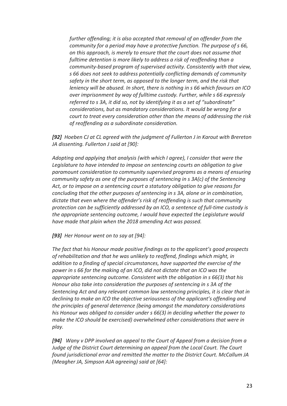*further offending; it is also accepted that removal of an offender from the community for a period may have a protective function. The purpose of s 66, on this approach, is merely to ensure that the court does not assume that fulltime detention is more likely to address a risk of reoffending than a community-based program of supervised activity. Consistently with that view, s 66 does not seek to address potentially conflicting demands of community safety in the short term, as opposed to the longer term, and the risk that leniency will be abused. In short, there is nothing in s 66 which favours an ICO over imprisonment by way of fulltime custody. Further, while s 66 expressly referred to s 3A, it did so, not by identifying it as a set of "subordinate" considerations, but as mandatory considerations. It would be wrong for a court to treat every consideration other than the means of addressing the risk of reoffending as a subordinate consideration.*

*[92] Hoeben CJ at CL agreed with the judgment of Fullerton J in Karout with Brereton JA dissenting. Fullerton J said at [90]:*

*Adopting and applying that analysis (with which I agree), I consider that were the Legislature to have intended to impose on sentencing courts an obligation to give paramount consideration to community supervised programs as a means of ensuring community safety as one of the purposes of sentencing in s 3A(c) of the Sentencing Act, or to impose on a sentencing court a statutory obligation to give reasons for concluding that the other purposes of sentencing in s 3A, alone or in combination, dictate that even where the offender's risk of reoffending is such that community protection can be sufficiently addressed by an ICO, a sentence of full-time custody is the appropriate sentencing outcome, I would have expected the Legislature would have made that plain when the 2018 amending Act was passed.*

*[93] Her Honour went on to say at [94]:*

*The fact that his Honour made positive findings as to the applicant's good prospects of rehabilitation and that he was unlikely to reoffend, findings which might, in addition to a finding of special circumstances, have supported the exercise of the power in s 66 for the making of an ICO, did not dictate that an ICO was the appropriate sentencing outcome. Consistent with the obligation in s 66(3) that his Honour also take into consideration the purposes of sentencing in s 3A of the Sentencing Act and any relevant common law sentencing principles, it is clear that in declining to make an ICO the objective seriousness of the applicant's offending and the principles of general deterrence (being amongst the mandatory considerations his Honour was obliged to consider under s 66(3) in deciding whether the power to make the ICO should be exercised) overwhelmed other considerations that were in play.*

*[94] Wany v DPP involved an appeal to the Court of Appeal from a decision from a Judge of the District Court determining an appeal from the Local Court. The Court found jurisdictional error and remitted the matter to the District Court. McCallum JA (Meagher JA, Simpson AJA agreeing) said at [64]:*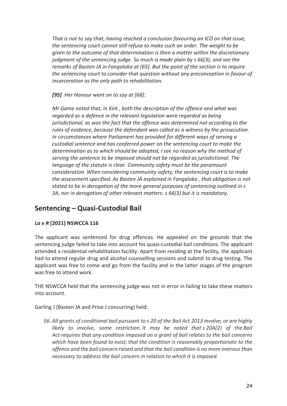*That is not to say that, having reached a conclusion favouring an ICO on that issue, the sentencing court cannot still refuse to make such an order. The weight to be given to the outcome of that determination is then a matter within the discretionary judgment of the sentencing judge. So much is made plain by s 66(3); and see the remarks of Basten JA in Fangaloka at [65]. But the point of the section is to require the sentencing court to consider that question without any preconception in favour of incarceration as the only path to rehabilitation.*

*[95] Her Honour went on to say at [68]:*

*Mr Game noted that, in Kirk , both the description of the offence and what was regarded as a defence in the relevant legislation were regarded as being jurisdictional, as was the fact that the offence was determined not according to the rules of evidence, because the defendant was called as a witness by the prosecution. In circumstances where Parliament has provided for different ways of serving a custodial sentence and has conferred power on the sentencing court to make the determination as to which should be adopted, I see no reason why the method of serving the sentence to be imposed should not be regarded as jurisdictional. The language of the statute is clear. Community safety must be the paramount consideration. When considering community safety, the sentencing court is to make the assessment specified. As Basten JA explained in Fangaloka , that obligation is not stated to be in derogation of the more general purposes of sentencing outlined in s 3A, nor in derogation of other relevant matters: s 66(3) but it is mandatory.*

# **Sentencing – Quasi-Custodial Bail**

### *La v R* **[2021] NSWCCA 116**

The applicant was sentenced for drug offences. He appealed on the grounds that the sentencing judge failed to take into account his quasi-custodial bail conditions. The applicant attended a residential rehabilitation facility. Apart from residing at the facility, the applicant had to attend regular drug and alcohol counselling sessions and submit to drug testing. The applicant was free to come and go from the facility and in the latter stages of the program was free to attend work.

THE NSWCCA held that the sentencing judge was not in error in failing to take these matters into account.

Garling J (Basten JA and Price J concurring) held:

*56. All grants of conditional bail pursuant to s 20 of the Bail Act 2013 involve, or are highly likely to involve, some restriction. It may be noted that s 20A(2) of the Bail Act requires that any condition imposed on a grant of bail relates to the bail concerns which have been found to exist; that the condition is reasonably proportionate to the offence and the bail concern raised and that the bail condition is no more onerous than necessary to address the bail concern in relation to which it is imposed.*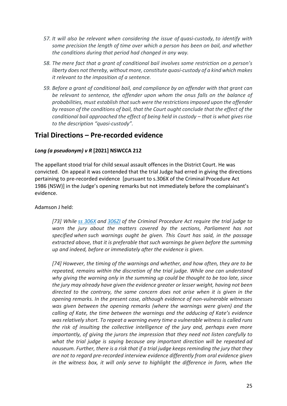- *57. It will also be relevant when considering the issue of quasi-custody, to identify with some precision the length of time over which a person has been on bail, and whether the conditions during that period had changed in any way.*
- *58. The mere fact that a grant of conditional bail involves some restriction on a person's liberty does not thereby, without more, constitute quasi-custody of a kind which makes it relevant to the imposition of a sentence.*
- *59. Before a grant of conditional bail, and compliance by an offender with that grant can be relevant to sentence, the offender upon whom the onus falls on the balance of probabilities, must establish that such were the restrictions imposed upon the offender by reason of the conditions of bail, that the Court ought conclude that the effect of the conditional bail approached the effect of being held in custody – that is what gives rise to the description "quasi-custody".*

## **Trial Directions – Pre-recorded evidence**

### *Long (a pseudonym) v R* **[2021] NSWCCA 212**

The appellant stood trial for child sexual assault offences in the District Court. He was convicted. On appeal it was contended that the trial Judge had erred in giving the directions pertaining to pre-recorded evidence [pursuant to s.306X of the Criminal Procedure Act 1986 (NSW)] in the Judge's opening remarks but not immediately before the complainant's evidence.

Adamson J held:

*[73] While ss 306X and 306ZI of the Criminal Procedure Act require the trial judge to warn the jury about the matters covered by the sections, Parliament has not specified when such warnings ought be given. This Court has said, in the passage extracted above, that it is preferable that such warnings be given before the summing up and indeed, before or immediately after the evidence is given.*

*[74] However, the timing of the warnings and whether, and how often, they are to be repeated, remains within the discretion of the trial judge. While one can understand why giving the warning only in the summing up could be thought to be too late, since the jury may already have given the evidence greater or lesser weight, having not been directed to the contrary, the same concern does not arise when it is given in the opening remarks. In the present case, although evidence of non-vulnerable witnesses was given between the opening remarks (where the warnings were given) and the calling of Kate, the time between the warnings and the adducing of Kate's evidence was relatively short. To repeat a warning every time a vulnerable witness is called runs the risk of insulting the collective intelligence of the jury and, perhaps even more importantly, of giving the jurors the impression that they need not listen carefully to what the trial judge is saying because any important direction will be repeated ad nauseum. Further, there is a risk that if a trial judge keeps reminding the jury that they are not to regard pre-recorded interview evidence differently from oral evidence given in the witness box, it will only serve to highlight the difference in form, when the*